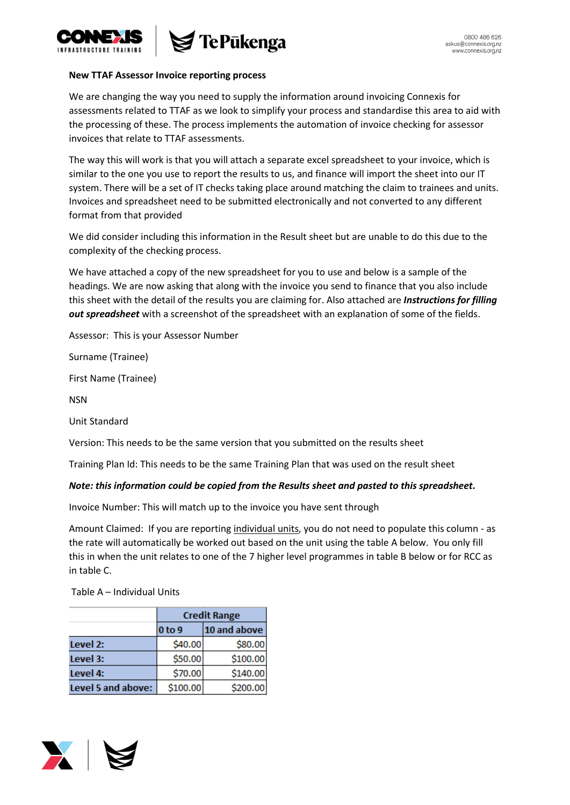

## **New TTAF Assessor Invoice reporting process**

We are changing the way you need to supply the information around invoicing Connexis for assessments related to TTAF as we look to simplify your process and standardise this area to aid with the processing of these. The process implements the automation of invoice checking for assessor invoices that relate to TTAF assessments.

The way this will work is that you will attach a separate excel spreadsheet to your invoice, which is similar to the one you use to report the results to us, and finance will import the sheet into our IT system. There will be a set of IT checks taking place around matching the claim to trainees and units. Invoices and spreadsheet need to be submitted electronically and not converted to any different format from that provided

We did consider including this information in the Result sheet but are unable to do this due to the complexity of the checking process.

We have attached a copy of the new spreadsheet for you to use and below is a sample of the headings. We are now asking that along with the invoice you send to finance that you also include this sheet with the detail of the results you are claiming for. Also attached are *Instructions for filling out spreadsheet* with a screenshot of the spreadsheet with an explanation of some of the fields.

Assessor: This is your Assessor Number

Surname (Trainee)

First Name (Trainee)

NSN

Unit Standard

Version: This needs to be the same version that you submitted on the results sheet

Training Plan Id: This needs to be the same Training Plan that was used on the result sheet

## *Note: this information could be copied from the Results sheet and pasted to this spreadsheet.*

Invoice Number: This will match up to the invoice you have sent through

Amount Claimed: If you are reporting individual units, you do not need to populate this column - as the rate will automatically be worked out based on the unit using the table A below. You only fill this in when the unit relates to one of the 7 higher level programmes in table B below or for RCC as in table C.

Table A – Individual Units

|                    | <b>Credit Range</b> |              |  |
|--------------------|---------------------|--------------|--|
|                    | 0 to 9              | 10 and above |  |
| Level 2:           | \$40.00             | \$80.00      |  |
| Level 3:           | \$50.00             | \$100.00     |  |
| Level 4:           | \$70.00             | \$140.00     |  |
| Level 5 and above: | \$100.00            | \$200.00     |  |

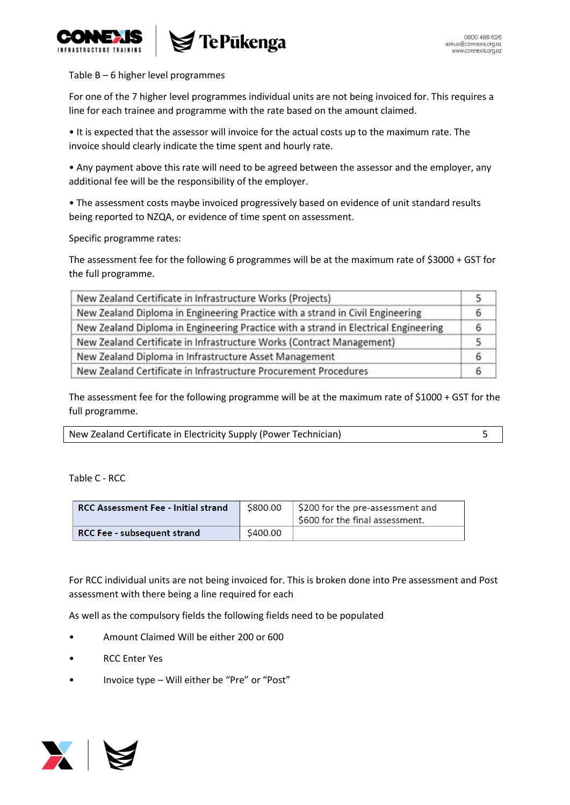



## Table B – 6 higher level programmes

For one of the 7 higher level programmes individual units are not being invoiced for. This requires a line for each trainee and programme with the rate based on the amount claimed.

• It is expected that the assessor will invoice for the actual costs up to the maximum rate. The invoice should clearly indicate the time spent and hourly rate.

• Any payment above this rate will need to be agreed between the assessor and the employer, any additional fee will be the responsibility of the employer.

• The assessment costs maybe invoiced progressively based on evidence of unit standard results being reported to NZQA, or evidence of time spent on assessment.

Specific programme rates:

The assessment fee for the following 6 programmes will be at the maximum rate of \$3000 + GST for the full programme.

| New Zealand Certificate in Infrastructure Works (Projects)                          |   |
|-------------------------------------------------------------------------------------|---|
| New Zealand Diploma in Engineering Practice with a strand in Civil Engineering      | ь |
| New Zealand Diploma in Engineering Practice with a strand in Electrical Engineering | ь |
| New Zealand Certificate in Infrastructure Works (Contract Management)               |   |
| New Zealand Diploma in Infrastructure Asset Management                              |   |
| New Zealand Certificate in Infrastructure Procurement Procedures                    |   |

The assessment fee for the following programme will be at the maximum rate of \$1000 + GST for the full programme.

| New Zealand Certificate in Electricity Supply (Power Technician) |  |
|------------------------------------------------------------------|--|
|------------------------------------------------------------------|--|

Table C - RCC

| <b>RCC Assessment Fee - Initial strand</b> | \$800.00 | \$200 for the pre-assessment and<br>\$600 for the final assessment. |
|--------------------------------------------|----------|---------------------------------------------------------------------|
| RCC Fee - subsequent strand                | \$400.00 |                                                                     |

For RCC individual units are not being invoiced for. This is broken done into Pre assessment and Post assessment with there being a line required for each

As well as the compulsory fields the following fields need to be populated

- Amount Claimed Will be either 200 or 600
- RCC Enter Yes
- Invoice type Will either be "Pre" or "Post"